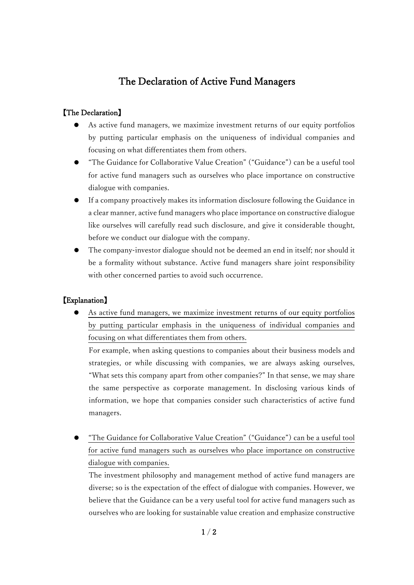## The Declaration of Active Fund Managers

## 【The Declaration】

- As active fund managers, we maximize investment returns of our equity portfolios by putting particular emphasis on the uniqueness of individual companies and focusing on what differentiates them from others.
- "The Guidance for Collaborative Value Creation" ("Guidance") can be a useful tool for active fund managers such as ourselves who place importance on constructive dialogue with companies.
- If a company proactively makes its information disclosure following the Guidance in a clear manner, active fund managers who place importance on constructive dialogue like ourselves will carefully read such disclosure, and give it considerable thought, before we conduct our dialogue with the company.
- The company-investor dialogue should not be deemed an end in itself; nor should it be a formality without substance. Active fund managers share joint responsibility with other concerned parties to avoid such occurrence.

## 【Explanation】

 As active fund managers, we maximize investment returns of our equity portfolios by putting particular emphasis in the uniqueness of individual companies and focusing on what differentiates them from others.

For example, when asking questions to companies about their business models and strategies, or while discussing with companies, we are always asking ourselves, "What sets this company apart from other companies?" In that sense, we may share the same perspective as corporate management. In disclosing various kinds of information, we hope that companies consider such characteristics of active fund managers.

 "The Guidance for Collaborative Value Creation" ("Guidance") can be a useful tool for active fund managers such as ourselves who place importance on constructive dialogue with companies.

The investment philosophy and management method of active fund managers are diverse; so is the expectation of the effect of dialogue with companies. However, we believe that the Guidance can be a very useful tool for active fund managers such as ourselves who are looking for sustainable value creation and emphasize constructive